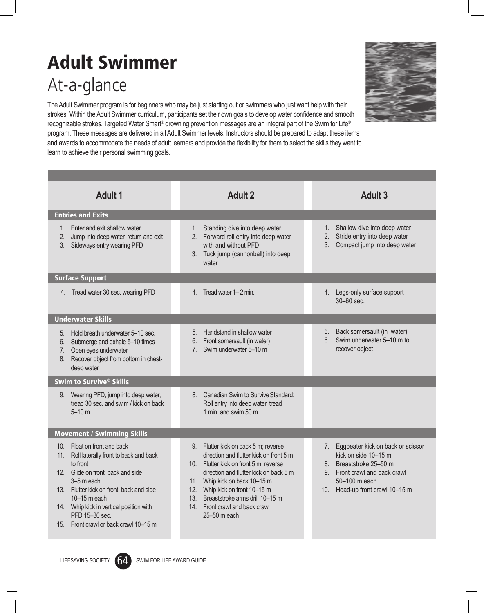## Adult Swimmer At-a-glance

The Adult Swimmer program is for beginners who may be just starting out or swimmers who just want help with their strokes. Within the Adult Swimmer curriculum, participants set their own goals to develop water confidence and smooth recognizable strokes. Targeted Water Smart® drowning prevention messages are an integral part of the Swim for Life® program. These messages are delivered in all Adult Swimmer levels. Instructors should be prepared to adapt these items and awards to accommodate the needs of adult learners and provide the flexibility for them to select the skills they want to learn to achieve their personal swimming goals.

| <b>Adult 1</b>                                                                                                                                                                                                                                                                                                                    | <b>Adult 2</b>                                                                                                                                                                                                                                                                                                                           | <b>Adult 3</b>                                                                                                                                                                        |
|-----------------------------------------------------------------------------------------------------------------------------------------------------------------------------------------------------------------------------------------------------------------------------------------------------------------------------------|------------------------------------------------------------------------------------------------------------------------------------------------------------------------------------------------------------------------------------------------------------------------------------------------------------------------------------------|---------------------------------------------------------------------------------------------------------------------------------------------------------------------------------------|
| <b>Entries and Exits</b>                                                                                                                                                                                                                                                                                                          |                                                                                                                                                                                                                                                                                                                                          |                                                                                                                                                                                       |
| Enter and exit shallow water<br>1.<br>2.<br>Jump into deep water, return and exit<br>3.<br>Sideways entry wearing PFD                                                                                                                                                                                                             | 1. Standing dive into deep water<br>2. Forward roll entry into deep water<br>with and without PFD<br>3. Tuck jump (cannonball) into deep<br>water                                                                                                                                                                                        | 1. Shallow dive into deep water<br>Stride entry into deep water<br>2.<br>3.<br>Compact jump into deep water                                                                           |
| <b>Surface Support</b>                                                                                                                                                                                                                                                                                                            |                                                                                                                                                                                                                                                                                                                                          |                                                                                                                                                                                       |
| Tread water 30 sec. wearing PFD<br>4.                                                                                                                                                                                                                                                                                             | Tread water 1–2 min.<br>4.                                                                                                                                                                                                                                                                                                               | 4. Legs-only surface support<br>30-60 sec.                                                                                                                                            |
| <b>Underwater Skills</b>                                                                                                                                                                                                                                                                                                          |                                                                                                                                                                                                                                                                                                                                          |                                                                                                                                                                                       |
| Hold breath underwater 5-10 sec.<br>5.<br>Submerge and exhale 5-10 times<br>6.<br>Open eyes underwater<br>7.<br>Recover object from bottom in chest-<br>8.<br>deep water                                                                                                                                                          | Handstand in shallow water<br>5.<br>Front somersault (in water)<br>6.<br>Swim underwater 5-10 m<br>7 <sub>1</sub>                                                                                                                                                                                                                        | 5. Back somersault (in water)<br>Swim underwater 5-10 m to<br>6.<br>recover object                                                                                                    |
| Swim to Survive <sup>®</sup> Skills                                                                                                                                                                                                                                                                                               |                                                                                                                                                                                                                                                                                                                                          |                                                                                                                                                                                       |
| Wearing PFD, jump into deep water,<br>9.<br>tread 30 sec. and swim / kick on back<br>$5 - 10$ m                                                                                                                                                                                                                                   | Canadian Swim to Survive Standard:<br>8.<br>Roll entry into deep water, tread<br>1 min. and swim 50 m                                                                                                                                                                                                                                    |                                                                                                                                                                                       |
| <b>Movement / Swimming Skills</b>                                                                                                                                                                                                                                                                                                 |                                                                                                                                                                                                                                                                                                                                          |                                                                                                                                                                                       |
| Float on front and back<br>10 <sub>1</sub><br>11.<br>Roll laterally front to back and back<br>to front<br>Glide on front, back and side<br>12.<br>3-5 m each<br>13. Flutter kick on front, back and side<br>10-15 m each<br>14. Whip kick in vertical position with<br>PFD 15-30 sec.<br>Front crawl or back crawl 10–15 m<br>15. | Flutter kick on back 5 m; reverse<br>9.<br>direction and flutter kick on front 5 m<br>10. Flutter kick on front 5 m; reverse<br>direction and flutter kick on back 5 m<br>11. Whip kick on back 10-15 m<br>Whip kick on front 10-15 m<br>12.<br>Breaststroke arms drill 10-15 m<br>13.<br>14. Front crawl and back crawl<br>25-50 m each | Eggbeater kick on back or scissor<br>7.<br>kick on side 10-15 m<br>Breaststroke 25-50 m<br>8.<br>Front crawl and back crawl<br>9.<br>50-100 m each<br>10. Head-up front crawl 10-15 m |